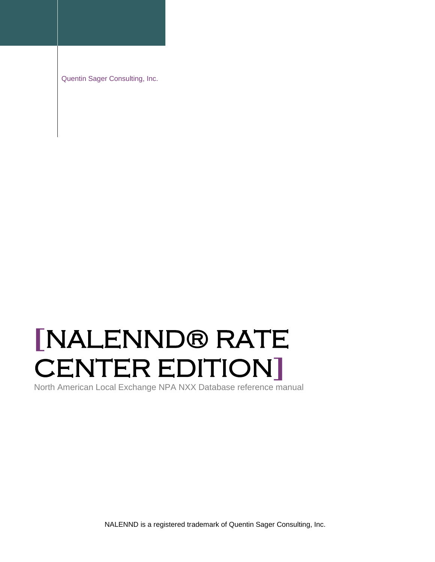Quentin Sager Consulting, Inc.

# **[**NALENND® RATE CENTER EDITION**]**

North American Local Exchange NPA NXX Database reference manual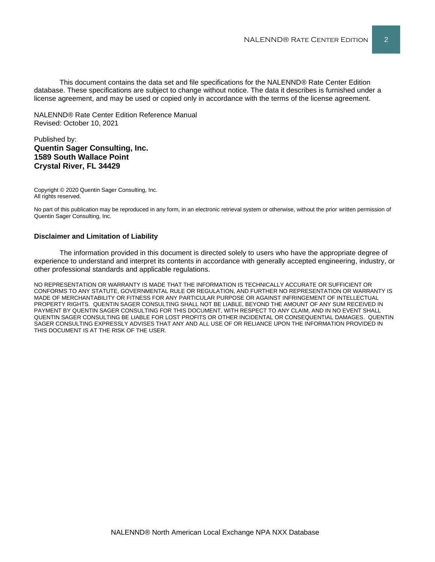This document contains the data set and file specifications for the NALENND® Rate Center Edition database. These specifications are subject to change without notice. The data it describes is furnished under a license agreement, and may be used or copied only in accordance with the terms of the license agreement.

NALENND® Rate Center Edition Reference Manual Revised: October 10, 2021

#### Published by: **Quentin Sager Consulting, Inc. 1589 South Wallace Point Crystal River, FL 34429**

Copyright © 2020 Quentin Sager Consulting, Inc. All rights reserved.

No part of this publication may be reproduced in any form, in an electronic retrieval system or otherwise, without the prior written permission of Quentin Sager Consulting, Inc.

#### **Disclaimer and Limitation of Liability**

The information provided in this document is directed solely to users who have the appropriate degree of experience to understand and interpret its contents in accordance with generally accepted engineering, industry, or other professional standards and applicable regulations.

NO REPRESENTATION OR WARRANTY IS MADE THAT THE INFORMATION IS TECHNICALLY ACCURATE OR SUFFICIENT OR CONFORMS TO ANY STATUTE, GOVERNMENTAL RULE OR REGULATION, AND FURTHER NO REPRESENTATION OR WARRANTY IS MADE OF MERCHANTABILITY OR FITNESS FOR ANY PARTICULAR PURPOSE OR AGAINST INFRINGEMENT OF INTELLECTUAL PROPERTY RIGHTS. QUENTIN SAGER CONSULTING SHALL NOT BE LIABLE, BEYOND THE AMOUNT OF ANY SUM RECEIVED IN PAYMENT BY QUENTIN SAGER CONSULTING FOR THIS DOCUMENT, WITH RESPECT TO ANY CLAIM, AND IN NO EVENT SHALL QUENTIN SAGER CONSULTING BE LIABLE FOR LOST PROFITS OR OTHER INCIDENTAL OR CONSEQUENTIAL DAMAGES. QUENTIN SAGER CONSULTING EXPRESSLY ADVISES THAT ANY AND ALL USE OF OR RELIANCE UPON THE INFORMATION PROVIDED IN THIS DOCUMENT IS AT THE RISK OF THE USER.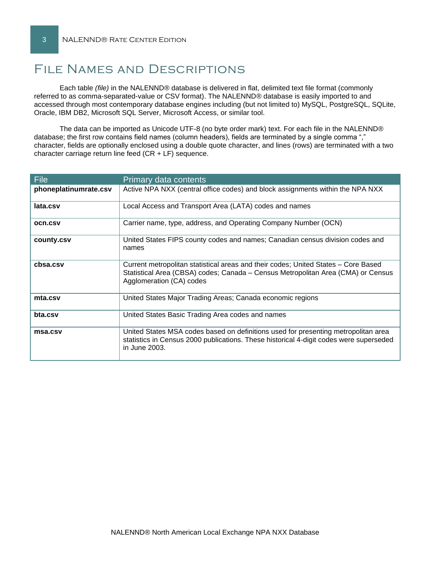# File Names and Descriptions

Each table *(file)* in the NALENND® database is delivered in flat, delimited text file format (commonly referred to as comma-separated-value or CSV format). The NALENND® database is easily imported to and accessed through most contemporary database engines including (but not limited to) MySQL, PostgreSQL, SQLite, Oracle, IBM DB2, Microsoft SQL Server, Microsoft Access, or similar tool.

The data can be imported as Unicode UTF-8 (no byte order mark) text. For each file in the NALENND® database; the first row contains field names (column headers), fields are terminated by a single comma "," character, fields are optionally enclosed using a double quote character, and lines (rows) are terminated with a two character carriage return line feed (CR + LF) sequence.

| <b>File</b>           | Primary data contents                                                                                                                                                                              |
|-----------------------|----------------------------------------------------------------------------------------------------------------------------------------------------------------------------------------------------|
| phoneplatinumrate.csv | Active NPA NXX (central office codes) and block assignments within the NPA NXX                                                                                                                     |
| lata.csv              | Local Access and Transport Area (LATA) codes and names                                                                                                                                             |
| ocn.csv               | Carrier name, type, address, and Operating Company Number (OCN)                                                                                                                                    |
| county.csv            | United States FIPS county codes and names; Canadian census division codes and<br>names                                                                                                             |
| cbsa.csv              | Current metropolitan statistical areas and their codes; United States – Core Based<br>Statistical Area (CBSA) codes; Canada - Census Metropolitan Area (CMA) or Census<br>Agglomeration (CA) codes |
| mta.csv               | United States Major Trading Areas; Canada economic regions                                                                                                                                         |
| bta.csv               | United States Basic Trading Area codes and names                                                                                                                                                   |
| msa.csv               | United States MSA codes based on definitions used for presenting metropolitan area<br>statistics in Census 2000 publications. These historical 4-digit codes were superseded<br>in June 2003.      |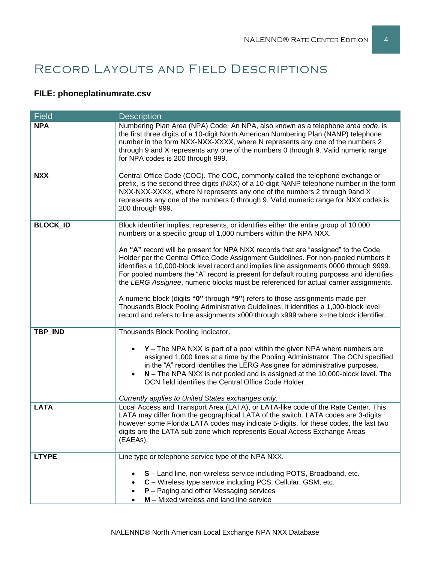# Record Layouts and Field Descriptions

# **FILE: phoneplatinumrate.csv**

| <b>Field</b>    | <b>Description</b>                                                                                                                                                                                                                                                                                                                                                                                                                                     |
|-----------------|--------------------------------------------------------------------------------------------------------------------------------------------------------------------------------------------------------------------------------------------------------------------------------------------------------------------------------------------------------------------------------------------------------------------------------------------------------|
| <b>NPA</b>      | Numbering Plan Area (NPA) Code. An NPA, also known as a telephone area code, is<br>the first three digits of a 10-digit North American Numbering Plan (NANP) telephone<br>number in the form NXX-NXX-XXXX, where N represents any one of the numbers 2<br>through 9 and X represents any one of the numbers 0 through 9. Valid numeric range<br>for NPA codes is 200 through 999.                                                                      |
| <b>NXX</b>      | Central Office Code (COC). The COC, commonly called the telephone exchange or<br>prefix, is the second three digits (NXX) of a 10-digit NANP telephone number in the form<br>NXX-NXX-XXXX, where N represents any one of the numbers 2 through 9and X<br>represents any one of the numbers 0 through 9. Valid numeric range for NXX codes is<br>200 through 999.                                                                                       |
| <b>BLOCK_ID</b> | Block identifier implies, represents, or identifies either the entire group of 10,000<br>numbers or a specific group of 1,000 numbers within the NPA NXX.                                                                                                                                                                                                                                                                                              |
|                 | An "A" record will be present for NPA NXX records that are "assigned" to the Code<br>Holder per the Central Office Code Assignment Guidelines. For non-pooled numbers it<br>identifies a 10,000-block level record and implies line assignments 0000 through 9999.<br>For pooled numbers the "A" record is present for default routing purposes and identifies<br>the LERG Assignee, numeric blocks must be referenced for actual carrier assignments. |
|                 | A numeric block (digits "0" through "9") refers to those assignments made per<br>Thousands Block Pooling Administrative Guidelines, it identifies a 1,000-block level<br>record and refers to line assignments x000 through x999 where x=the block identifier.                                                                                                                                                                                         |
| TBP_IND         | Thousands Block Pooling Indicator.                                                                                                                                                                                                                                                                                                                                                                                                                     |
|                 | $Y$ – The NPA NXX is part of a pool within the given NPA where numbers are<br>assigned 1,000 lines at a time by the Pooling Administrator. The OCN specified<br>in the "A" record identifies the LERG Assignee for administrative purposes.<br>$N$ – The NPA NXX is not pooled and is assigned at the 10,000-block level. The<br>OCN field identifies the Central Office Code Holder.                                                                  |
|                 | Currently applies to United States exchanges only.                                                                                                                                                                                                                                                                                                                                                                                                     |
| <b>LATA</b>     | Local Access and Transport Area (LATA), or LATA-like code of the Rate Center. This<br>LATA may differ from the geographical LATA of the switch. LATA codes are 3-digits<br>however some Florida LATA codes may indicate 5-digits, for these codes, the last two<br>digits are the LATA sub-zone which represents Equal Access Exchange Areas<br>(EAEAs).                                                                                               |
| <b>LTYPE</b>    | Line type or telephone service type of the NPA NXX.                                                                                                                                                                                                                                                                                                                                                                                                    |
|                 | S - Land line, non-wireless service including POTS, Broadband, etc.<br>C - Wireless type service including PCS, Cellular, GSM, etc.<br>$P -$ Paging and other Messaging services<br>M - Mixed wireless and land line service                                                                                                                                                                                                                           |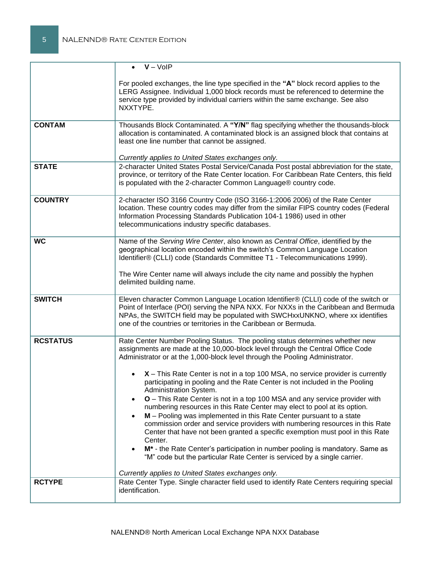|                 | $\bullet$ $V - VolP$                                                                                                                                                                                                                                                                                                                                                                                                                                                                                                                                                                                                                                                                                                                                                                                                                                                                                                                                                                                                                                                                                                              |
|-----------------|-----------------------------------------------------------------------------------------------------------------------------------------------------------------------------------------------------------------------------------------------------------------------------------------------------------------------------------------------------------------------------------------------------------------------------------------------------------------------------------------------------------------------------------------------------------------------------------------------------------------------------------------------------------------------------------------------------------------------------------------------------------------------------------------------------------------------------------------------------------------------------------------------------------------------------------------------------------------------------------------------------------------------------------------------------------------------------------------------------------------------------------|
|                 | For pooled exchanges, the line type specified in the "A" block record applies to the<br>LERG Assignee. Individual 1,000 block records must be referenced to determine the<br>service type provided by individual carriers within the same exchange. See also<br>NXXTYPE.                                                                                                                                                                                                                                                                                                                                                                                                                                                                                                                                                                                                                                                                                                                                                                                                                                                          |
| <b>CONTAM</b>   | Thousands Block Contaminated. A "Y/N" flag specifying whether the thousands-block<br>allocation is contaminated. A contaminated block is an assigned block that contains at<br>least one line number that cannot be assigned.<br>Currently applies to United States exchanges only.                                                                                                                                                                                                                                                                                                                                                                                                                                                                                                                                                                                                                                                                                                                                                                                                                                               |
| <b>STATE</b>    | 2-character United States Postal Service/Canada Post postal abbreviation for the state,<br>province, or territory of the Rate Center location. For Caribbean Rate Centers, this field<br>is populated with the 2-character Common Language® country code.                                                                                                                                                                                                                                                                                                                                                                                                                                                                                                                                                                                                                                                                                                                                                                                                                                                                         |
| <b>COUNTRY</b>  | 2-character ISO 3166 Country Code (ISO 3166-1:2006 2006) of the Rate Center<br>location. These country codes may differ from the similar FIPS country codes (Federal<br>Information Processing Standards Publication 104-1 1986) used in other<br>telecommunications industry specific databases.                                                                                                                                                                                                                                                                                                                                                                                                                                                                                                                                                                                                                                                                                                                                                                                                                                 |
| <b>WC</b>       | Name of the Serving Wire Center, also known as Central Office, identified by the<br>geographical location encoded within the switch's Common Language Location<br>Identifier® (CLLI) code (Standards Committee T1 - Telecommunications 1999).<br>The Wire Center name will always include the city name and possibly the hyphen<br>delimited building name.                                                                                                                                                                                                                                                                                                                                                                                                                                                                                                                                                                                                                                                                                                                                                                       |
| <b>SWITCH</b>   | Eleven character Common Language Location Identifier® (CLLI) code of the switch or<br>Point of Interface (POI) serving the NPA NXX. For NXXs in the Caribbean and Bermuda<br>NPAs, the SWITCH field may be populated with SWCHxxUNKNO, where xx identifies<br>one of the countries or territories in the Caribbean or Bermuda.                                                                                                                                                                                                                                                                                                                                                                                                                                                                                                                                                                                                                                                                                                                                                                                                    |
| <b>RCSTATUS</b> | Rate Center Number Pooling Status. The pooling status determines whether new<br>assignments are made at the 10,000-block level through the Central Office Code<br>Administrator or at the 1,000-block level through the Pooling Administrator.<br>$\bullet$ $X$ – This Rate Center is not in a top 100 MSA, no service provider is currently<br>participating in pooling and the Rate Center is not included in the Pooling<br>Administration System.<br><b>O</b> – This Rate Center is not in a top 100 MSA and any service provider with<br>$\bullet$<br>numbering resources in this Rate Center may elect to pool at its option.<br>M - Pooling was implemented in this Rate Center pursuant to a state<br>$\bullet$<br>commission order and service providers with numbering resources in this Rate<br>Center that have not been granted a specific exemption must pool in this Rate<br>Center.<br>M <sup>*</sup> - the Rate Center's participation in number pooling is mandatory. Same as<br>"M" code but the particular Rate Center is serviced by a single carrier.<br>Currently applies to United States exchanges only. |
| <b>RCTYPE</b>   | Rate Center Type. Single character field used to identify Rate Centers requiring special<br>identification.                                                                                                                                                                                                                                                                                                                                                                                                                                                                                                                                                                                                                                                                                                                                                                                                                                                                                                                                                                                                                       |
|                 |                                                                                                                                                                                                                                                                                                                                                                                                                                                                                                                                                                                                                                                                                                                                                                                                                                                                                                                                                                                                                                                                                                                                   |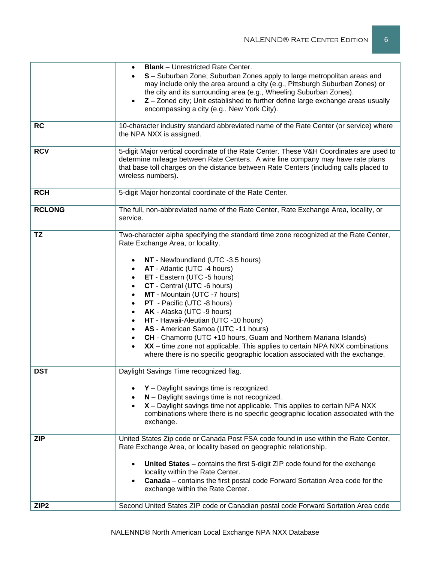| <b>RC</b>        | <b>Blank</b> – Unrestricted Rate Center.<br>S - Suburban Zone; Suburban Zones apply to large metropolitan areas and<br>may include only the area around a city (e.g., Pittsburgh Suburban Zones) or<br>the city and its surrounding area (e.g., Wheeling Suburban Zones).<br>Z - Zoned city; Unit established to further define large exchange areas usually<br>$\bullet$<br>encompassing a city (e.g., New York City).<br>10-character industry standard abbreviated name of the Rate Center (or service) where                                                                                                                                                                                                                                                       |
|------------------|------------------------------------------------------------------------------------------------------------------------------------------------------------------------------------------------------------------------------------------------------------------------------------------------------------------------------------------------------------------------------------------------------------------------------------------------------------------------------------------------------------------------------------------------------------------------------------------------------------------------------------------------------------------------------------------------------------------------------------------------------------------------|
|                  | the NPA NXX is assigned.                                                                                                                                                                                                                                                                                                                                                                                                                                                                                                                                                                                                                                                                                                                                               |
| <b>RCV</b>       | 5-digit Major vertical coordinate of the Rate Center. These V&H Coordinates are used to<br>determine mileage between Rate Centers. A wire line company may have rate plans<br>that base toll charges on the distance between Rate Centers (including calls placed to<br>wireless numbers).                                                                                                                                                                                                                                                                                                                                                                                                                                                                             |
| <b>RCH</b>       | 5-digit Major horizontal coordinate of the Rate Center.                                                                                                                                                                                                                                                                                                                                                                                                                                                                                                                                                                                                                                                                                                                |
| <b>RCLONG</b>    | The full, non-abbreviated name of the Rate Center, Rate Exchange Area, locality, or<br>service.                                                                                                                                                                                                                                                                                                                                                                                                                                                                                                                                                                                                                                                                        |
| TZ               | Two-character alpha specifying the standard time zone recognized at the Rate Center,<br>Rate Exchange Area, or locality.<br>NT - Newfoundland (UTC -3.5 hours)<br>AT - Atlantic (UTC -4 hours)<br>$\bullet$<br>ET - Eastern (UTC -5 hours)<br>$\bullet$<br>CT - Central (UTC -6 hours)<br>$\bullet$<br>MT - Mountain (UTC -7 hours)<br>$\bullet$<br>PT - Pacific (UTC -8 hours)<br>$\bullet$<br>AK - Alaska (UTC -9 hours)<br>$\bullet$<br>HT - Hawaii-Aleutian (UTC -10 hours)<br>AS - American Samoa (UTC -11 hours)<br>CH - Chamorro (UTC +10 hours, Guam and Northern Mariana Islands)<br>XX - time zone not applicable. This applies to certain NPA NXX combinations<br>$\bullet$<br>where there is no specific geographic location associated with the exchange. |
| <b>DST</b>       | Daylight Savings Time recognized flag.<br>$Y$ – Daylight savings time is recognized.<br>N - Daylight savings time is not recognized.<br>X - Daylight savings time not applicable. This applies to certain NPA NXX<br>combinations where there is no specific geographic location associated with the<br>exchange.                                                                                                                                                                                                                                                                                                                                                                                                                                                      |
| <b>ZIP</b>       | United States Zip code or Canada Post FSA code found in use within the Rate Center,<br>Rate Exchange Area, or locality based on geographic relationship.<br>United States - contains the first 5-digit ZIP code found for the exchange<br>locality within the Rate Center.<br><b>Canada</b> – contains the first postal code Forward Sortation Area code for the<br>exchange within the Rate Center.                                                                                                                                                                                                                                                                                                                                                                   |
| ZIP <sub>2</sub> | Second United States ZIP code or Canadian postal code Forward Sortation Area code                                                                                                                                                                                                                                                                                                                                                                                                                                                                                                                                                                                                                                                                                      |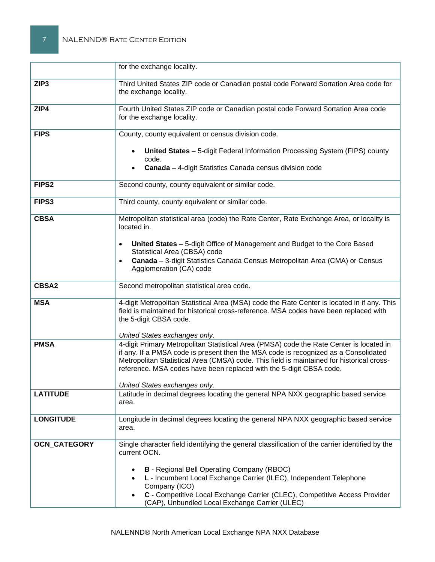|                     | for the exchange locality.                                                                                                                                                                                                                                               |
|---------------------|--------------------------------------------------------------------------------------------------------------------------------------------------------------------------------------------------------------------------------------------------------------------------|
| ZIP <sub>3</sub>    | Third United States ZIP code or Canadian postal code Forward Sortation Area code for<br>the exchange locality.                                                                                                                                                           |
| ZIP4                | Fourth United States ZIP code or Canadian postal code Forward Sortation Area code<br>for the exchange locality.                                                                                                                                                          |
| <b>FIPS</b>         | County, county equivalent or census division code.                                                                                                                                                                                                                       |
|                     | United States - 5-digit Federal Information Processing System (FIPS) county<br>code.<br>Canada - 4-digit Statistics Canada census division code                                                                                                                          |
| FIPS <sub>2</sub>   | Second county, county equivalent or similar code.                                                                                                                                                                                                                        |
| FIPS3               | Third county, county equivalent or similar code.                                                                                                                                                                                                                         |
| <b>CBSA</b>         | Metropolitan statistical area (code) the Rate Center, Rate Exchange Area, or locality is<br>located in.                                                                                                                                                                  |
|                     | United States - 5-digit Office of Management and Budget to the Core Based<br>$\bullet$<br>Statistical Area (CBSA) code<br>Canada - 3-digit Statistics Canada Census Metropolitan Area (CMA) or Census<br>$\bullet$<br>Agglomeration (CA) code                            |
| <b>CBSA2</b>        | Second metropolitan statistical area code.                                                                                                                                                                                                                               |
| <b>MSA</b>          | 4-digit Metropolitan Statistical Area (MSA) code the Rate Center is located in if any. This<br>field is maintained for historical cross-reference. MSA codes have been replaced with<br>the 5-digit CBSA code.                                                           |
| <b>PMSA</b>         | United States exchanges only.<br>4-digit Primary Metropolitan Statistical Area (PMSA) code the Rate Center is located in                                                                                                                                                 |
|                     | if any. If a PMSA code is present then the MSA code is recognized as a Consolidated<br>Metropolitan Statistical Area (CMSA) code. This field is maintained for historical cross-<br>reference. MSA codes have been replaced with the 5-digit CBSA code.                  |
|                     | United States exchanges only.                                                                                                                                                                                                                                            |
| <b>LATITUDE</b>     | Latitude in decimal degrees locating the general NPA NXX geographic based service<br>area.                                                                                                                                                                               |
| <b>LONGITUDE</b>    | Longitude in decimal degrees locating the general NPA NXX geographic based service<br>area.                                                                                                                                                                              |
| <b>OCN_CATEGORY</b> | Single character field identifying the general classification of the carrier identified by the<br>current OCN.                                                                                                                                                           |
|                     | <b>B</b> - Regional Bell Operating Company (RBOC)<br>L - Incumbent Local Exchange Carrier (ILEC), Independent Telephone<br>Company (ICO)<br>C - Competitive Local Exchange Carrier (CLEC), Competitive Access Provider<br>(CAP), Unbundled Local Exchange Carrier (ULEC) |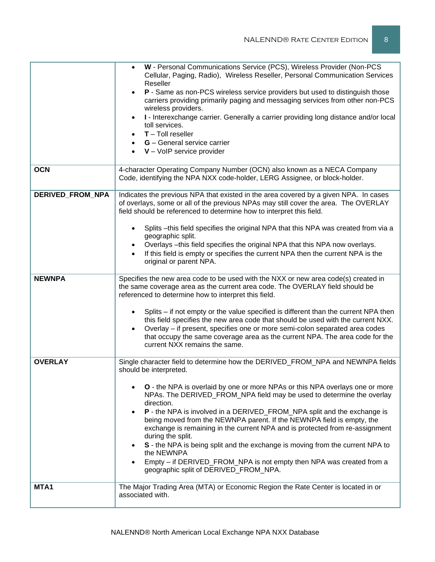|                  | Cellular, Paging, Radio), Wireless Reseller, Personal Communication Services<br>Reseller<br>P - Same as non-PCS wireless service providers but used to distinguish those<br>carriers providing primarily paging and messaging services from other non-PCS<br>wireless providers.<br>I - Interexchange carrier. Generally a carrier providing long distance and/or local<br>toll services.<br>$T -$ Toll reseller<br>$G$ – General service carrier<br>$V - VolP$ service provider                                                                                                                                                                                                                                                                         |
|------------------|----------------------------------------------------------------------------------------------------------------------------------------------------------------------------------------------------------------------------------------------------------------------------------------------------------------------------------------------------------------------------------------------------------------------------------------------------------------------------------------------------------------------------------------------------------------------------------------------------------------------------------------------------------------------------------------------------------------------------------------------------------|
| <b>OCN</b>       | 4-character Operating Company Number (OCN) also known as a NECA Company<br>Code, identifying the NPA NXX code-holder, LERG Assignee, or block-holder.                                                                                                                                                                                                                                                                                                                                                                                                                                                                                                                                                                                                    |
| DERIVED_FROM_NPA | Indicates the previous NPA that existed in the area covered by a given NPA. In cases<br>of overlays, some or all of the previous NPAs may still cover the area. The OVERLAY<br>field should be referenced to determine how to interpret this field.<br>Splits - this field specifies the original NPA that this NPA was created from via a<br>$\bullet$<br>geographic split.<br>Overlays - this field specifies the original NPA that this NPA now overlays.<br>If this field is empty or specifies the current NPA then the current NPA is the<br>$\bullet$<br>original or parent NPA.                                                                                                                                                                  |
| <b>NEWNPA</b>    | Specifies the new area code to be used with the NXX or new area code(s) created in<br>the same coverage area as the current area code. The OVERLAY field should be<br>referenced to determine how to interpret this field.<br>Splits – if not empty or the value specified is different than the current NPA then<br>$\bullet$<br>this field specifies the new area code that should be used with the current NXX.<br>Overlay - if present, specifies one or more semi-colon separated area codes<br>$\bullet$<br>that occupy the same coverage area as the current NPA. The area code for the<br>current NXX remains the same.                                                                                                                          |
| <b>OVERLAY</b>   | Single character field to determine how the DERIVED_FROM_NPA and NEWNPA fields<br>should be interpreted.<br>O - the NPA is overlaid by one or more NPAs or this NPA overlays one or more<br>NPAs. The DERIVED_FROM_NPA field may be used to determine the overlay<br>direction.<br>P - the NPA is involved in a DERIVED_FROM_NPA split and the exchange is<br>being moved from the NEWNPA parent. If the NEWNPA field is empty, the<br>exchange is remaining in the current NPA and is protected from re-assignment<br>during the split.<br>S - the NPA is being split and the exchange is moving from the current NPA to<br>the NEWNPA<br>Empty – if DERIVED_FROM_NPA is not empty then NPA was created from a<br>geographic split of DERIVED FROM NPA. |
| MTA1             | The Major Trading Area (MTA) or Economic Region the Rate Center is located in or<br>associated with.                                                                                                                                                                                                                                                                                                                                                                                                                                                                                                                                                                                                                                                     |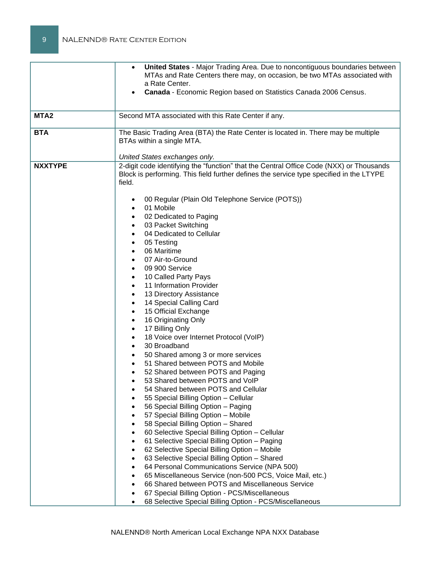| MTA <sub>2</sub><br><b>BTA</b> | <b>United States - Major Trading Area. Due to noncontiguous boundaries between</b><br>$\bullet$<br>MTAs and Rate Centers there may, on occasion, be two MTAs associated with<br>a Rate Center.<br>Canada - Economic Region based on Statistics Canada 2006 Census.<br>$\bullet$<br>Second MTA associated with this Rate Center if any.<br>The Basic Trading Area (BTA) the Rate Center is located in. There may be multiple<br>BTAs within a single MTA. |
|--------------------------------|----------------------------------------------------------------------------------------------------------------------------------------------------------------------------------------------------------------------------------------------------------------------------------------------------------------------------------------------------------------------------------------------------------------------------------------------------------|
|                                | United States exchanges only.                                                                                                                                                                                                                                                                                                                                                                                                                            |
| <b>NXXTYPE</b>                 | 2-digit code identifying the "function" that the Central Office Code (NXX) or Thousands<br>Block is performing. This field further defines the service type specified in the LTYPE<br>field.<br>00 Regular (Plain Old Telephone Service (POTS))<br>01 Mobile<br>$\bullet$<br>02 Dedicated to Paging<br>$\bullet$                                                                                                                                         |
|                                | 03 Packet Switching<br>٠                                                                                                                                                                                                                                                                                                                                                                                                                                 |
|                                | 04 Dedicated to Cellular                                                                                                                                                                                                                                                                                                                                                                                                                                 |
|                                | 05 Testing<br>$\bullet$                                                                                                                                                                                                                                                                                                                                                                                                                                  |
|                                | 06 Maritime<br>$\bullet$                                                                                                                                                                                                                                                                                                                                                                                                                                 |
|                                | 07 Air-to-Ground<br>09 900 Service<br>٠                                                                                                                                                                                                                                                                                                                                                                                                                  |
|                                | 10 Called Party Pays                                                                                                                                                                                                                                                                                                                                                                                                                                     |
|                                | 11 Information Provider<br>$\bullet$                                                                                                                                                                                                                                                                                                                                                                                                                     |
|                                | 13 Directory Assistance<br>$\bullet$                                                                                                                                                                                                                                                                                                                                                                                                                     |
|                                | 14 Special Calling Card<br>٠                                                                                                                                                                                                                                                                                                                                                                                                                             |
|                                | 15 Official Exchange<br>$\bullet$                                                                                                                                                                                                                                                                                                                                                                                                                        |
|                                | 16 Originating Only<br>٠                                                                                                                                                                                                                                                                                                                                                                                                                                 |
|                                | 17 Billing Only<br>٠                                                                                                                                                                                                                                                                                                                                                                                                                                     |
|                                | 18 Voice over Internet Protocol (VoIP)<br>$\bullet$                                                                                                                                                                                                                                                                                                                                                                                                      |
|                                | 30 Broadband                                                                                                                                                                                                                                                                                                                                                                                                                                             |
|                                | 50 Shared among 3 or more services                                                                                                                                                                                                                                                                                                                                                                                                                       |
|                                | 51 Shared between POTS and Mobile                                                                                                                                                                                                                                                                                                                                                                                                                        |
|                                | 52 Shared between POTS and Paging                                                                                                                                                                                                                                                                                                                                                                                                                        |
|                                | 53 Shared between POTS and VoIP<br>54 Shared between POTS and Cellular                                                                                                                                                                                                                                                                                                                                                                                   |
|                                | 55 Special Billing Option - Cellular                                                                                                                                                                                                                                                                                                                                                                                                                     |
|                                | 56 Special Billing Option - Paging                                                                                                                                                                                                                                                                                                                                                                                                                       |
|                                | 57 Special Billing Option - Mobile                                                                                                                                                                                                                                                                                                                                                                                                                       |
|                                | 58 Special Billing Option - Shared                                                                                                                                                                                                                                                                                                                                                                                                                       |
|                                | 60 Selective Special Billing Option - Cellular<br>$\bullet$                                                                                                                                                                                                                                                                                                                                                                                              |
|                                | 61 Selective Special Billing Option - Paging<br>٠                                                                                                                                                                                                                                                                                                                                                                                                        |
|                                | 62 Selective Special Billing Option - Mobile<br>$\bullet$                                                                                                                                                                                                                                                                                                                                                                                                |
|                                | 63 Selective Special Billing Option - Shared<br>٠                                                                                                                                                                                                                                                                                                                                                                                                        |
|                                | 64 Personal Communications Service (NPA 500)<br>$\bullet$                                                                                                                                                                                                                                                                                                                                                                                                |
|                                | 65 Miscellaneous Service (non-500 PCS, Voice Mail, etc.)<br>$\bullet$                                                                                                                                                                                                                                                                                                                                                                                    |
|                                | 66 Shared between POTS and Miscellaneous Service<br>$\bullet$                                                                                                                                                                                                                                                                                                                                                                                            |
|                                | 67 Special Billing Option - PCS/Miscellaneous<br>$\bullet$                                                                                                                                                                                                                                                                                                                                                                                               |
|                                | 68 Selective Special Billing Option - PCS/Miscellaneous<br>$\bullet$                                                                                                                                                                                                                                                                                                                                                                                     |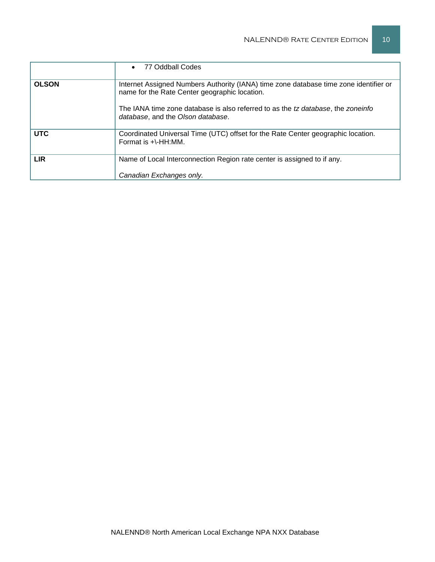|              | 77 Oddball Codes                                                                                                                                                                                                                                                |
|--------------|-----------------------------------------------------------------------------------------------------------------------------------------------------------------------------------------------------------------------------------------------------------------|
| <b>OLSON</b> | Internet Assigned Numbers Authority (IANA) time zone database time zone identifier or<br>name for the Rate Center geographic location.<br>The IANA time zone database is also referred to as the tz database, the zoneinfo<br>database, and the Olson database. |
| <b>UTC</b>   | Coordinated Universal Time (UTC) offset for the Rate Center geographic location.<br>Format is +\-HH:MM.                                                                                                                                                         |
| <b>LIR</b>   | Name of Local Interconnection Region rate center is assigned to if any.<br>Canadian Exchanges only.                                                                                                                                                             |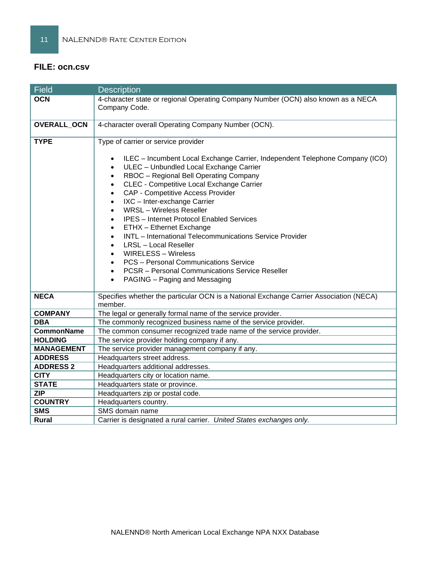## **FILE: ocn.csv**

| <b>Field</b>      | <b>Description</b>                                                                                                                                                                                                                                                                                                                                                                                                                                                                                                                                                                                                                                                                                                                                                                               |
|-------------------|--------------------------------------------------------------------------------------------------------------------------------------------------------------------------------------------------------------------------------------------------------------------------------------------------------------------------------------------------------------------------------------------------------------------------------------------------------------------------------------------------------------------------------------------------------------------------------------------------------------------------------------------------------------------------------------------------------------------------------------------------------------------------------------------------|
| <b>OCN</b>        | 4-character state or regional Operating Company Number (OCN) also known as a NECA<br>Company Code.                                                                                                                                                                                                                                                                                                                                                                                                                                                                                                                                                                                                                                                                                               |
| OVERALL_OCN       | 4-character overall Operating Company Number (OCN).                                                                                                                                                                                                                                                                                                                                                                                                                                                                                                                                                                                                                                                                                                                                              |
| <b>TYPE</b>       | Type of carrier or service provider<br>ILEC - Incumbent Local Exchange Carrier, Independent Telephone Company (ICO)<br>ULEC - Unbundled Local Exchange Carrier<br>$\bullet$<br>RBOC - Regional Bell Operating Company<br>$\bullet$<br>CLEC - Competitive Local Exchange Carrier<br>$\bullet$<br>CAP - Competitive Access Provider<br>$\bullet$<br>IXC - Inter-exchange Carrier<br>$\bullet$<br><b>WRSL</b> - Wireless Reseller<br><b>IPES</b> - Internet Protocol Enabled Services<br>ETHX - Ethernet Exchange<br>INTL - International Telecommunications Service Provider<br><b>LRSL</b> - Local Reseller<br><b>WIRELESS - Wireless</b><br><b>PCS</b> - Personal Communications Service<br><b>PCSR</b> – Personal Communications Service Reseller<br>PAGING - Paging and Messaging<br>$\bullet$ |
| <b>NECA</b>       | Specifies whether the particular OCN is a National Exchange Carrier Association (NECA)<br>member.                                                                                                                                                                                                                                                                                                                                                                                                                                                                                                                                                                                                                                                                                                |
| <b>COMPANY</b>    | The legal or generally formal name of the service provider.                                                                                                                                                                                                                                                                                                                                                                                                                                                                                                                                                                                                                                                                                                                                      |
| <b>DBA</b>        | The commonly recognized business name of the service provider.                                                                                                                                                                                                                                                                                                                                                                                                                                                                                                                                                                                                                                                                                                                                   |
| <b>CommonName</b> | The common consumer recognized trade name of the service provider.                                                                                                                                                                                                                                                                                                                                                                                                                                                                                                                                                                                                                                                                                                                               |
| <b>HOLDING</b>    | The service provider holding company if any.                                                                                                                                                                                                                                                                                                                                                                                                                                                                                                                                                                                                                                                                                                                                                     |
| <b>MANAGEMENT</b> | The service provider management company if any.                                                                                                                                                                                                                                                                                                                                                                                                                                                                                                                                                                                                                                                                                                                                                  |
| <b>ADDRESS</b>    | Headquarters street address.                                                                                                                                                                                                                                                                                                                                                                                                                                                                                                                                                                                                                                                                                                                                                                     |
| <b>ADDRESS 2</b>  | Headquarters additional addresses.                                                                                                                                                                                                                                                                                                                                                                                                                                                                                                                                                                                                                                                                                                                                                               |
| <b>CITY</b>       | Headquarters city or location name.                                                                                                                                                                                                                                                                                                                                                                                                                                                                                                                                                                                                                                                                                                                                                              |
| <b>STATE</b>      | Headquarters state or province.                                                                                                                                                                                                                                                                                                                                                                                                                                                                                                                                                                                                                                                                                                                                                                  |
| <b>ZIP</b>        | Headquarters zip or postal code.                                                                                                                                                                                                                                                                                                                                                                                                                                                                                                                                                                                                                                                                                                                                                                 |
| <b>COUNTRY</b>    | Headquarters country.                                                                                                                                                                                                                                                                                                                                                                                                                                                                                                                                                                                                                                                                                                                                                                            |
| <b>SMS</b>        | SMS domain name                                                                                                                                                                                                                                                                                                                                                                                                                                                                                                                                                                                                                                                                                                                                                                                  |
| <b>Rural</b>      | Carrier is designated a rural carrier. United States exchanges only.                                                                                                                                                                                                                                                                                                                                                                                                                                                                                                                                                                                                                                                                                                                             |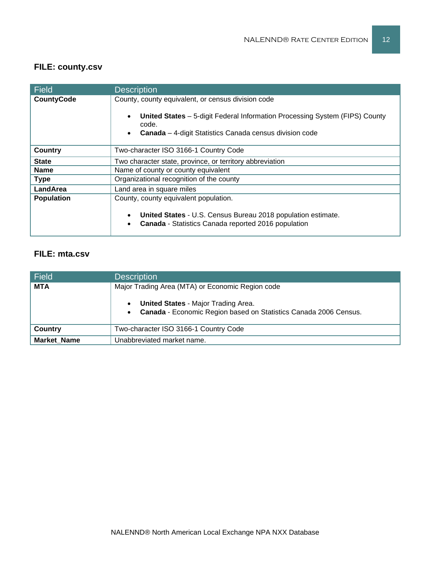# **FILE: county.csv**

| <b>Field</b>      | <b>Description</b>                                                                                                                                                                                                               |
|-------------------|----------------------------------------------------------------------------------------------------------------------------------------------------------------------------------------------------------------------------------|
| <b>CountyCode</b> | County, county equivalent, or census division code<br><b>United States</b> – 5-digit Federal Information Processing System (FIPS) County<br>$\bullet$<br>code.<br><b>Canada</b> – 4-digit Statistics Canada census division code |
| Country           | Two-character ISO 3166-1 Country Code                                                                                                                                                                                            |
| <b>State</b>      | Two character state, province, or territory abbreviation                                                                                                                                                                         |
| <b>Name</b>       | Name of county or county equivalent                                                                                                                                                                                              |
| <b>Type</b>       | Organizational recognition of the county                                                                                                                                                                                         |
| LandArea          | Land area in square miles                                                                                                                                                                                                        |
| <b>Population</b> | County, county equivalent population.<br>United States - U.S. Census Bureau 2018 population estimate.<br>$\bullet$<br>Canada - Statistics Canada reported 2016 population<br>$\bullet$                                           |

## **FILE: mta.csv**

| Field              | <b>Description</b>                                                                                             |
|--------------------|----------------------------------------------------------------------------------------------------------------|
| <b>MTA</b>         | Major Trading Area (MTA) or Economic Region code                                                               |
|                    | <b>United States - Major Trading Area.</b><br>Canada - Economic Region based on Statistics Canada 2006 Census. |
| Country            | Two-character ISO 3166-1 Country Code                                                                          |
| <b>Market Name</b> | Unabbreviated market name.                                                                                     |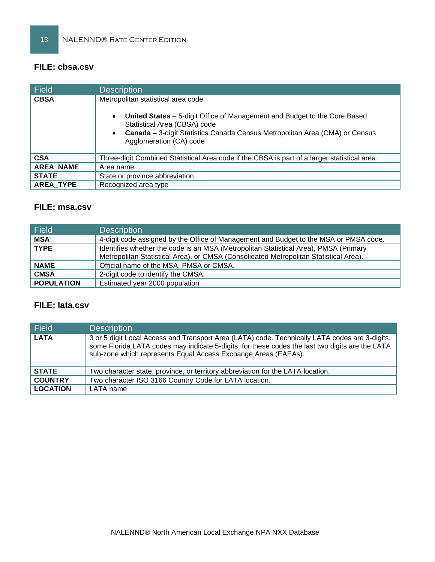## **FILE: cbsa.csv**

| <b>Field</b>     | <b>Description</b>                                                                                                                                                                                                                                                                  |
|------------------|-------------------------------------------------------------------------------------------------------------------------------------------------------------------------------------------------------------------------------------------------------------------------------------|
| <b>CBSA</b>      | Metropolitan statistical area code<br>United States - 5-digit Office of Management and Budget to the Core Based<br>$\bullet$<br>Statistical Area (CBSA) code<br>Canada - 3-digit Statistics Canada Census Metropolitan Area (CMA) or Census<br>$\bullet$<br>Agglomeration (CA) code |
| <b>CSA</b>       | Three-digit Combined Statistical Area code if the CBSA is part of a larger statistical area.                                                                                                                                                                                        |
| <b>AREA NAME</b> | Area name                                                                                                                                                                                                                                                                           |
| <b>STATE</b>     | State or province abbreviation                                                                                                                                                                                                                                                      |
| <b>AREA TYPE</b> | Recognized area type                                                                                                                                                                                                                                                                |

# **FILE: msa.csv**

| <b>Field</b>      | <b>Description</b>                                                                                                                                                            |
|-------------------|-------------------------------------------------------------------------------------------------------------------------------------------------------------------------------|
| <b>MSA</b>        | 4-digit code assigned by the Office of Management and Budget to the MSA or PMSA code.                                                                                         |
| <b>TYPE</b>       | Identifies whether the code is an MSA (Metropolitan Statistical Area), PMSA (Primary<br>Metropolitan Statistical Area), or CMSA (Consolidated Metropolitan Statistical Area). |
| <b>NAME</b>       | Official name of the MSA, PMSA or CMSA.                                                                                                                                       |
| <b>CMSA</b>       | 2-digit code to identify the CMSA.                                                                                                                                            |
| <b>POPULATION</b> | Estimated year 2000 population                                                                                                                                                |

# **FILE: lata.csv**

| Field           | <b>Description</b>                                                                                                                                                                                                                                                  |  |
|-----------------|---------------------------------------------------------------------------------------------------------------------------------------------------------------------------------------------------------------------------------------------------------------------|--|
| <b>LATA</b>     | 3 or 5 digit Local Access and Transport Area (LATA) code. Technically LATA codes are 3-digits,<br>some Florida LATA codes may indicate 5-digits, for these codes the last two digits are the LATA<br>sub-zone which represents Equal Access Exchange Areas (EAEAs). |  |
| <b>STATE</b>    | Two character state, province, or territory abbreviation for the LATA location.                                                                                                                                                                                     |  |
| <b>COUNTRY</b>  | Two character ISO 3166 Country Code for LATA location.                                                                                                                                                                                                              |  |
| <b>LOCATION</b> | LATA name                                                                                                                                                                                                                                                           |  |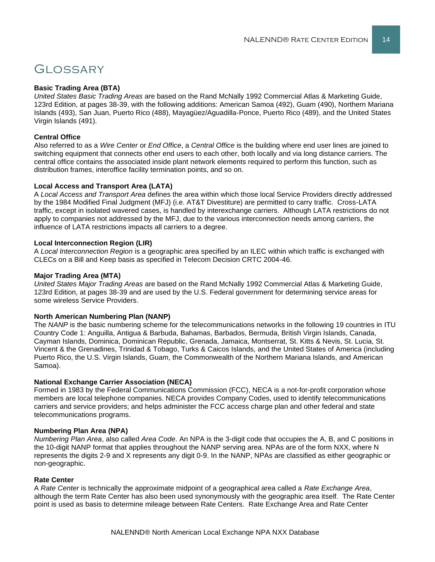# **GLOSSARY**

#### **Basic Trading Area (BTA)**

*United States Basic Trading Areas* are based on the Rand McNally 1992 Commercial Atlas & Marketing Guide, 123rd Edition, at pages 38-39, with the following additions: American Samoa (492), Guam (490), Northern Mariana Islands (493), San Juan, Puerto Rico (488), Mayagüez/Aguadilla-Ponce, Puerto Rico (489), and the United States Virgin Islands (491).

#### **Central Office**

Also referred to as a *Wire Center* or *End Office*, a *Central Office* is the building where end user lines are joined to switching equipment that connects other end users to each other, both locally and via long distance carriers. The central office contains the associated inside plant network elements required to perform this function, such as distribution frames, interoffice facility termination points, and so on.

#### **Local Access and Transport Area (LATA)**

A *Local Access and Transport Area* defines the area within which those local Service Providers directly addressed by the 1984 Modified Final Judgment (MFJ) (i.e. AT&T Divestiture) are permitted to carry traffic. Cross-LATA traffic, except in isolated wavered cases, is handled by interexchange carriers. Although LATA restrictions do not apply to companies not addressed by the MFJ, due to the various interconnection needs among carriers, the influence of LATA restrictions impacts all carriers to a degree.

#### **Local Interconnection Region (LIR)**

A *Local Interconnection Region* is a geographic area specified by an ILEC within which traffic is exchanged with CLECs on a Bill and Keep basis as specified in Telecom Decision CRTC 2004-46.

#### **Major Trading Area (MTA)**

*United States Major Trading Areas* are based on the Rand McNally 1992 Commercial Atlas & Marketing Guide, 123rd Edition, at pages 38-39 and are used by the U.S. Federal government for determining service areas for some wireless Service Providers.

#### **North American Numbering Plan (NANP)**

The *NANP* is the basic numbering scheme for the telecommunications networks in the following 19 countries in ITU Country Code 1: Anguilla, Antigua & Barbuda, Bahamas, Barbados, Bermuda, British Virgin Islands, Canada, Cayman Islands, Dominica, Dominican Republic, Grenada, Jamaica, Montserrat, St. Kitts & Nevis, St. Lucia, St. Vincent & the Grenadines, Trinidad & Tobago, Turks & Caicos Islands, and the United States of America (including Puerto Rico, the U.S. Virgin Islands, Guam, the Commonwealth of the Northern Mariana Islands, and American Samoa).

#### **National Exchange Carrier Association (NECA)**

Formed in 1983 by the Federal Communications Commission (FCC), NECA is a not-for-profit corporation whose members are local telephone companies. NECA provides Company Codes, used to identify telecommunications carriers and service providers; and helps administer the FCC access charge plan and other federal and state telecommunications programs.

#### **Numbering Plan Area (NPA)**

*Numbering Plan Area*, also called *Area Code*. An NPA is the 3-digit code that occupies the A, B, and C positions in the 10-digit NANP format that applies throughout the NANP serving area. NPAs are of the form NXX, where N represents the digits 2-9 and X represents any digit 0-9. In the NANP, NPAs are classified as either geographic or non-geographic.

#### **Rate Center**

A *Rate Center* is technically the approximate midpoint of a geographical area called a *Rate Exchange Area*, although the term Rate Center has also been used synonymously with the geographic area itself. The Rate Center point is used as basis to determine mileage between Rate Centers. Rate Exchange Area and Rate Center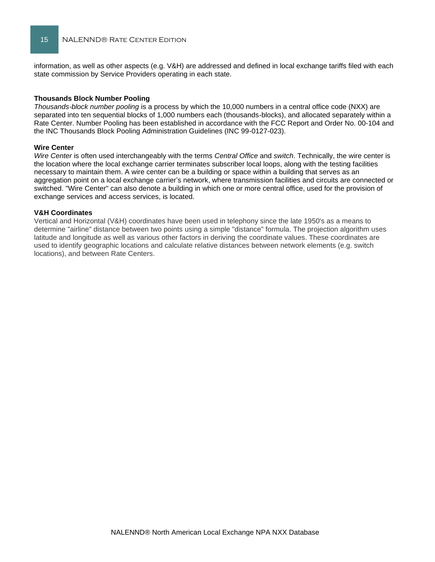information, as well as other aspects (e.g. V&H) are addressed and defined in local exchange tariffs filed with each state commission by Service Providers operating in each state.

#### **Thousands Block Number Pooling**

*Thousands-block number pooling* is a process by which the 10,000 numbers in a central office code (NXX) are separated into ten sequential blocks of 1,000 numbers each (thousands-blocks), and allocated separately within a Rate Center. Number Pooling has been established in accordance with the FCC Report and Order No. 00-104 and the INC Thousands Block Pooling Administration Guidelines (INC 99-0127-023).

#### **Wire Center**

*Wire Center* is often used interchangeably with the terms *Central Office* and *switch*. Technically, the wire center is the location where the local exchange carrier terminates subscriber local loops, along with the testing facilities necessary to maintain them. A wire center can be a building or space within a building that serves as an aggregation point on a local exchange carrier's network, where transmission facilities and circuits are connected or switched. "Wire Center" can also denote a building in which one or more central office, used for the provision of exchange services and access services, is located.

#### **V&H Coordinates**

Vertical and Horizontal (V&H) coordinates have been used in telephony since the late 1950's as a means to determine "airline" distance between two points using a simple "distance" formula. The projection algorithm uses latitude and longitude as well as various other factors in deriving the coordinate values. These coordinates are used to identify geographic locations and calculate relative distances between network elements (e.g. switch locations), and between Rate Centers.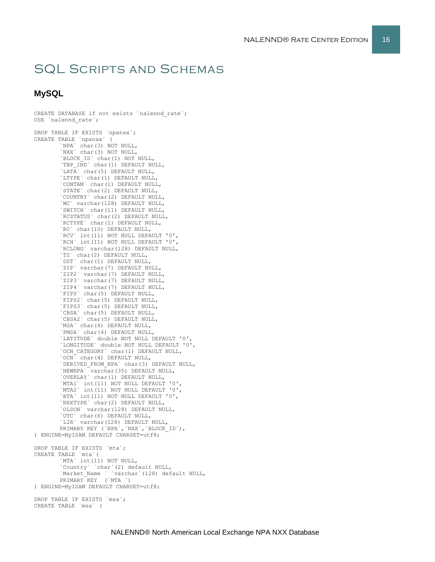# SQL Scripts and Schemas

### **MySQL**

```
CREATE DATABASE if not exists `nalennd_rate`;
USE `nalennd_rate`;
DROP TABLE IF EXISTS `npanxx`;
CREATE TABLE `npanxx` (
        `NPA` char(3) NOT NULL,
       `NXX` char(3) NOT NULL,
        `BLOCK_ID` char(1) NOT NULL,
        `TBP IND` char(1) DEFAULT NULL,
       `LATA` char(5) DEFAULT NULL,
       `LTYPE` char(1) DEFAULT NULL,
        `CONTAM` char(1) DEFAULT NULL,
        `STATE` char(2) DEFAULT NULL,
       `COUNTRY` char(2) DEFAULT NULL,
       `WC` varchar(128) DEFAULT NULL,
        `SWITCH` char(11) DEFAULT NULL,
        `RCSTATUS` char(2) DEFAULT NULL,
       `RCTYPE` char(1) DEFAULT NULL,
        `RC` char(10) DEFAULT NULL,
        `RCV` int(11) NOT NULL DEFAULT '0',
       `RCH` int(11) NOT NULL DEFAULT '0',
        `RCLONG` varchar(128) DEFAULT NULL,
        `TZ` char(2) DEFAULT NULL,
       `DST` char(1) DEFAULT NULL,
       `ZIP` varchar(7) DEFAULT NULL,
        `ZIP2` varchar(7) DEFAULT NULL,
        `ZIP3` varchar(7) DEFAULT NULL,
       `ZIP4` varchar(7) DEFAULT NULL,
       `FIPS` char(5) DEFAULT NULL,
        `FIPS2` char(5) DEFAULT NULL,
       `FIPS3` char(5) DEFAULT NULL,
       `CBSA` char(5) DEFAULT NULL,
        `CBSA2` char(5) DEFAULT NULL,
        `MSA` char(4) DEFAULT NULL,
       `PMSA` char(4) DEFAULT NULL,
        `LATITUDE` double NOT NULL DEFAULT '0',
        `LONGITUDE` double NOT NULL DEFAULT '0',
        `OCN_CATEGORY` char(1) DEFAULT NULL,
       `OCN` char(4) DEFAULT NULL,
        `DERIVED_FROM_NPA` char(3) DEFAULT NULL,
        `NEWNPA` varchar(35) DEFAULT NULL,
        `OVERLAY` char(1) DEFAULT NULL,
        `MTA1` int(11) NOT NULL DEFAULT '0',
        `MTA2` int(11) NOT NULL DEFAULT '0',
        `BTA` int(11) NOT NULL DEFAULT '0',
       `NXXTYPE` char(2) DEFAULT NULL,
        `OLSON` varchar(128) DEFAULT NULL,
        `UTC` char(6) DEFAULT NULL,
       `LIR` varchar(128) DEFAULT NULL,
       PRIMARY KEY (`NPA`,`NXX`,`BLOCK_ID`),
) ENGINE=MyISAM DEFAULT CHARSET=utf8;
DROP TABLE IF EXISTS `mta`;
CREATE TABLE `mta`(
        `MTA` int(11) NOT NULL,
        `Country` `char`(2) default NULL,
        `Market_Name ` `varchar`(128) default NULL,
       PRIMARY KEY (`MTA `)
) ENGINE=MyISAM DEFAULT CHARSET=utf8;
DROP TABLE IF EXISTS `msa`;
```
CREATE TABLE `msa` (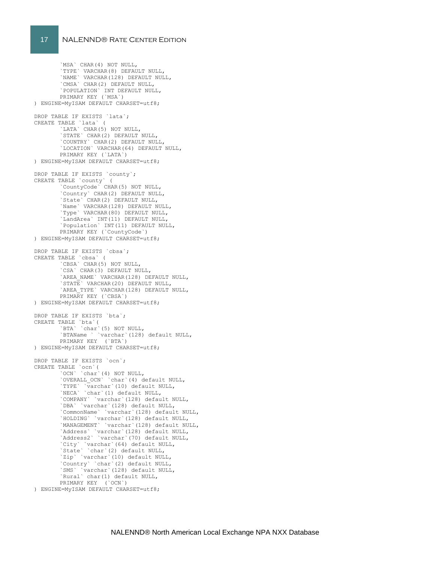`MSA` CHAR(4) NOT NULL, `TYPE` VARCHAR(8) DEFAULT NULL, `NAME` VARCHAR(128) DEFAULT NULL, `CMSA` CHAR(2) DEFAULT NULL, `POPULATION` INT DEFAULT NULL, PRIMARY KEY (`MSA`) ) ENGINE=MyISAM DEFAULT CHARSET=utf8; DROP TABLE IF EXISTS `lata`; CREATE TABLE `lata` ( ...\_\_\_<br>'LATA` CHAR(5) NOT NULL, `STATE` CHAR(2) DEFAULT NULL, `COUNTRY` CHAR(2) DEFAULT NULL, `LOCATION` VARCHAR(64) DEFAULT NULL, PRIMARY KEY (`LATA`) ) ENGINE=MyISAM DEFAULT CHARSET=utf8; DROP TABLE IF EXISTS `county`; CREATE TABLE `county` ( `CountyCode` CHAR(5) NOT NULL, `Country` CHAR(2) DEFAULT NULL, `State` CHAR(2) DEFAULT NULL, `Name` VARCHAR(128) DEFAULT NULL, `Type` VARCHAR(80) DEFAULT NULL, `LandArea` INT(11) DEFAULT NULL, `Population` INT(11) DEFAULT NULL, PRIMARY KEY (`CountyCode`) ) ENGINE=MyISAM DEFAULT CHARSET=utf8; DROP TABLE IF EXISTS `cbsa`; CREATE TABLE `cbsa` ( `CBSA` CHAR(5) NOT NULL, `CSA` CHAR(3) DEFAULT NULL, `AREA\_NAME` VARCHAR(128) DEFAULT NULL, `STATE` VARCHAR(20) DEFAULT NULL, `AREA\_TYPE` VARCHAR(128) DEFAULT NULL, PRIMARY KEY (`CBSA`) ) ENGINE=MyISAM DEFAULT CHARSET=utf8; DROP TABLE IF EXISTS `bta`; CREATE TABLE `bta`( `BTA` `char`(5) NOT NULL, `BTAName ` `varchar`(128) default NULL, PRIMARY KEY (`BTA`) ) ENGINE=MyISAM DEFAULT CHARSET=utf8; DROP TABLE IF EXISTS `ocn`; CREATE TABLE `ocn`( `OCN` `char`(4) NOT NULL, `OVERALL\_OCN` `char`(4) default NULL, `TYPE` `varchar`(10) default NULL, `NECA` `char`(1) default NULL, `COMPANY` `varchar`(128) default NULL, `DBA` `varchar`(128) default NULL, `CommonName` `varchar`(128) default NULL, `HOLDING` `varchar`(128) default NULL, `MANAGEMENT` `varchar`(128) default NULL, `Address` `varchar`(128) default NULL, `Address2` `varchar`(70) default NULL, `City` `varchar`(64) default NULL, `State` `char`(2) default NULL, `Zip` `varchar`(10) default NULL, `Country` `char`(2) default NULL, `SMS` `varchar`(128) default NULL, `Rural` char(1) default NULL, PRIMARY KEY (`OCN`)

) ENGINE=MyISAM DEFAULT CHARSET=utf8;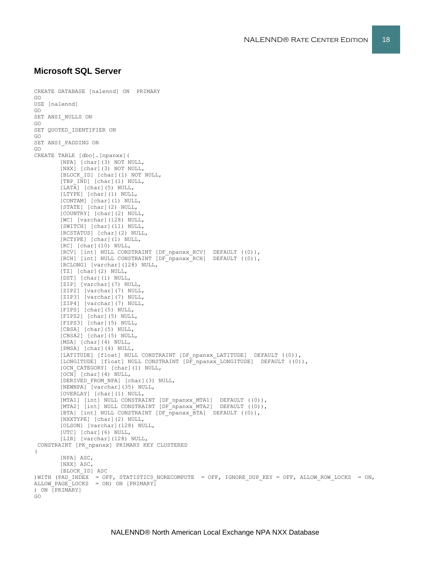#### **Microsoft SQL Server**

```
CREATE DATABASE [nalennd] ON PRIMARY 
GO
USE [nalennd]
GO
SET ANSI_NULLS ON
GO
SET QUOTED IDENTIFIER ON
GO
SET ANSI_PADDING ON
GO
CREATE TABLE [dbo].[npanxx](
       [NPA] [char](3) NOT NULL,
        [NXX] [char](3) NOT NULL,
       [BLOCK_ID] [char](1) NOT NULL,
       [TBP_IND] [char](1) NULL,
        [LATA] [char](5) NULL,
        [LTYPE] [char](1) NULL,
       [CONTAM] [char](1) NULL,
       [STATE] [char](2) NULL,
        [COUNTRY] [char](2) NULL,
       [WC] [varchar](128) NULL,
       [SWITCH] [char](11) NULL,
        [RCSTATUS] [char](2) NULL,
        [RCTYPE] [char](1) NULL,
       [RC] [char](10) NULL,
        [RCV] [int] NULL CONSTRAINT [DF_npanxx_RCV] DEFAULT ((0)),
        [RCH] [int] NULL CONSTRAINT [DF_npanxx_RCH] DEFAULT ((0)),
        [RCLONG] [varchar](128) NULL,
        [TZ] [char](2) NULL,
        [DST] [char](1) NULL,
        [ZIP] [varchar](7) NULL,
       [ZIP2] [varchar](7) NULL,
       [ZIP3] [varchar](7) NULL,
       [ZIP4] [varchar](7) NULL,
       [FIPS] [char](5) NULL,
       [FIPS2] [char](5) NULL,
        [FIPS3] [char](5) NULL,
        [CBSA] [char](5) NULL,
       [CBSA2] [char](5) NULL,
        [MSA] [char](4) NULL,
        [PMSA] [char](4) NULL,
        [LATITUDE] [float] NULL CONSTRAINT [DF_npanxx_LATITUDE] DEFAULT ((0)),
        [LONGITUDE] [float] NULL CONSTRAINT [D\overline{F} npanxx LONGITUDE] DEFAULT ((0)),
        [OCN_CATEGORY] [char](1) NULL,
        [OCN] [char](4) NULL,
       [DERIVED_FROM_NPA] [char](3) NULL,
        [NEWNPA] [varchar](35) NULL,
        [OVERLAY] [char](1) NULL,
        [MTA1] [int] NULL CONSTRAINT [DF npanxx MTA1] DEFAULT ((0)),
        [MTA2] [int] NULL CONSTRAINT [DF_npanxx_MTA2] DEFAULT ((0)),
        [BTA] [int] NULL CONSTRAINT [DF_npanxx_BTA] DEFAULT ((0)),
        [NXXTYPE] [char](2) NULL,
       [OLSON] [varchar](128) NULL,
       [UTC] [char](6) NULL,
        [LIR] [varchar](128) NULL,
 CONSTRAINT [PK_npanxx] PRIMARY KEY CLUSTERED 
\left([NPA] ASC,
        [NXX] ASC,
       [BLOCK_ID] ASC
)WITH (PAD INDEX = OFF, STATISTICS NORECOMPUTE = OFF, IGNORE DUP KEY = OFF, ALLOW ROW LOCKS = ON,
ALLOW PAGE LOCKS = ON) ON [PRIMARY]) ON [PRIMARY]
GO
```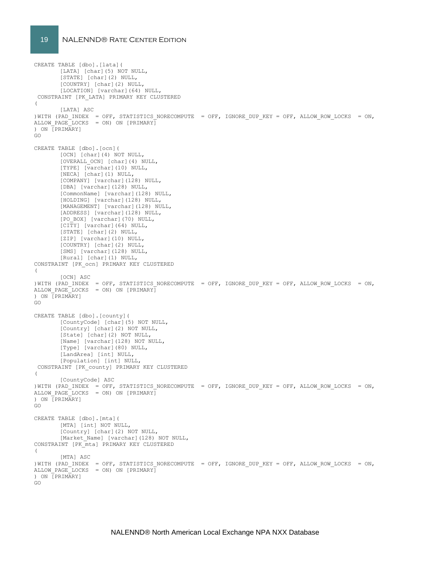#### 19 NALENND® Rate Center Edition

CREATE TABLE [dbo].[lata]( [LATA] [char](5) NOT NULL, [STATE] [char](2) NULL, [COUNTRY] [char](2) NULL, [LOCATION] [varchar](64) NULL, CONSTRAINT [PK\_LATA] PRIMARY KEY CLUSTERED ( [LATA] ASC )WITH (PAD INDEX = OFF, STATISTICS NORECOMPUTE = OFF, IGNORE DUP KEY = OFF, ALLOW ROW LOCKS = ON, ALLOW PAGE LOCKS = ON) ON [PRIMARY] ) ON [PRIMARY] GO CREATE TABLE [dbo].[ocn]( [OCN] [char](4) NOT NULL, [OVERALL\_OCN] [char](4) NULL,  $[TYPE]$   $[\overline{v}archar](10)$  NULL, [NECA] [char](1) NULL, [COMPANY] [varchar](128) NULL, [DBA] [varchar](128) NULL, [CommonName] [varchar](128) NULL, [HOLDING] [varchar](128) NULL, [MANAGEMENT] [varchar](128) NULL, [ADDRESS] [varchar](128) NULL, [PO\_BOX] [varchar](70) NULL, [CITY] [varchar](64) NULL, [STATE] [char](2) NULL, [ZIP] [varchar](10) NULL, [COUNTRY] [char](2) NULL, [SMS] [varchar](128) NULL, [Rural] [char](1) NULL, CONSTRAINT [PK\_ocn] PRIMARY KEY CLUSTERED ( [OCN] ASC ) WITH (PAD INDEX = OFF, STATISTICS NORECOMPUTE = OFF, IGNORE DUP KEY = OFF, ALLOW ROW LOCKS = ON, ALLOW\_PAGE\_LOCKS = ON) ON [PRIMARY] ) ON [PRIMARY] GO CREATE TABLE [dbo].[county]( [CountyCode] [char](5) NOT NULL, [Country] [char](2) NOT NULL, [State] [char](2) NOT NULL, [Name] [varchar](128) NOT NULL, [Type] [varchar](80) NULL, [LandArea] [int] NULL, [Population] [int] NULL, CONSTRAINT [PK\_county] PRIMARY KEY CLUSTERED ( [CountyCode] ASC )WITH (PAD INDEX = OFF, STATISTICS NORECOMPUTE = OFF, IGNORE DUP KEY = OFF, ALLOW ROW LOCKS = ON, ALLOW\_PAGE\_LOCKS = ON) ON [PRIMARY] ) ON [PRIMARY] GO CREATE TABLE [dbo].[mta]( [MTA] [int] NOT NULL, [Country] [char](2) NOT NULL, [Market Name] [varchar](128) NOT NULL, CONSTRAINT [PK\_mta] PRIMARY KEY CLUSTERED  $\left($ [MTA] ASC ) WITH (PAD INDEX = OFF, STATISTICS NORECOMPUTE = OFF, IGNORE DUP KEY = OFF, ALLOW ROW LOCKS = ON, ALLOW PAGE LOCKS = ON) ON  $[PRIMARY]$ ) ON [PRIMARY] GO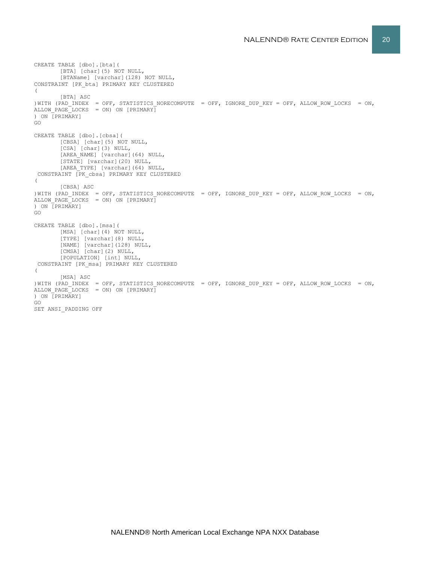```
CREATE TABLE [dbo].[bta](
       [BTA] [char](5) NOT NULL,
       [BTAName] [varchar](128) NOT NULL,
CONSTRAINT [PK_bta] PRIMARY KEY CLUSTERED 
([BTA] ASC
)WITH (PAD INDEX = OFF, STATISTICS NORECOMPUTE = OFF, IGNORE DUP KEY = OFF, ALLOW ROW LOCKS = ON,
ALLOW PAGE LOCKS = ON) ON [PRIMARY]
) ON [PRIMARY]
GO
CREATE TABLE [dbo].[cbsa](
       [CBSA] [char](5) NOT NULL,
       [CSA] [char](3) NULL,
       [AREA NAME] [varchar](64) NULL,
       [STATE] [varchar](20) NULL,
       [AREA TYPE] [varchar](64) NULL,
CONSTRAINT [PK_cbsa] PRIMARY KEY CLUSTERED 
\left([CBSA] ASC
)WITH (PAD_INDEX = OFF, STATISTICS_NORECOMPUTE = OFF, IGNORE_DUP_KEY = OFF, ALLOW_ROW_LOCKS = ON, 
ALLOW_PAGE_LOCKS = ON) ON [PRIMARY]
) ON [PRIMARY]
GO
CREATE TABLE [dbo].[msa](
       [MSA] [char](4) NOT NULL,
       [TYPE] [varchar](8) NULL,
       [NAME] [varchar](128) NULL,
       [CMSA] [char](2) NULL,
       [POPULATION] [int] NULL,
CONSTRAINT [PK_msa] PRIMARY KEY CLUSTERED 
(
       [MSA] ASC
)WITH (PAD_INDEX = OFF, STATISTICS_NORECOMPUTE = OFF, IGNORE_DUP_KEY = OFF, ALLOW_ROW_LOCKS = ON,
ALLOW_PAGE_LOCKS = ON) ON [PRIMARY]
) ON [PRIMARY]
GO
SET ANSI_PADDING OFF
```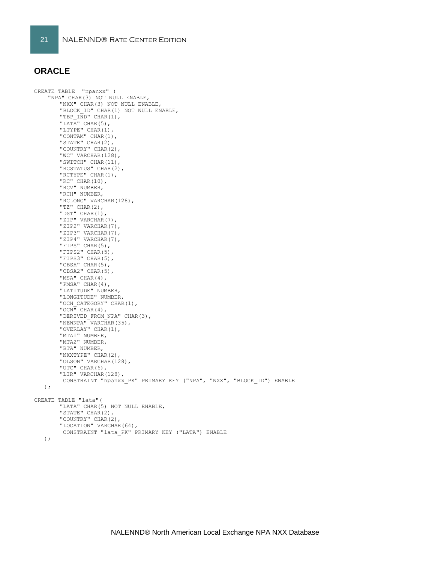## **ORACLE**

CREATE TABLE "npanxx" ( "NPA" CHAR(3) NOT NULL ENABLE, "NXX" CHAR(3) NOT NULL ENABLE, "BLOCK\_ID" CHAR(1) NOT NULL ENABLE, "TBP IND" CHAR(1), "LATA" CHAR $(5)$ , "LTYPE" CHAR(1), "CONTAM" CHAR(1), "STATE" CHAR(2), "COUNTRY" CHAR(2), "WC" VARCHAR(128), "SWITCH" CHAR(11), "RCSTATUS" CHAR(2), "RCTYPE" CHAR(1), "RC" CHAR(10), "RCV" NUMBER, "RCH" NUMBER, "RCLONG" VARCHAR(128), "TZ" CHAR(2), "DST" CHAR(1), "ZIP" VARCHAR(7), "ZIP2" VARCHAR(7), "ZIP3" VARCHAR(7), "ZIP4" VARCHAR(7), "FIPS" CHAR(5), "FIPS2" CHAR(5), "FIPS3" CHAR(5), "CBSA" CHAR(5), "CBSA2" CHAR(5), "MSA" CHAR(4), "PMSA" CHAR(4), "LATITUDE" NUMBER, "LONGITUDE" NUMBER, "OCN CATEGORY" CHAR(1), " $OCN$ " CHAR(4), "DERIVED\_FROM\_NPA" CHAR(3), "NEWNPA" VARCHAR(35), "OVERLAY" CHAR(1), "MTA1" NUMBER, "MTA2" NUMBER, "BTA" NUMBER, "NXXTYPE" CHAR(2), "OLSON" VARCHAR(128), "UTC" CHAR(6), "LIR" VARCHAR(128), CONSTRAINT "npanxx\_PK" PRIMARY KEY ("NPA", "NXX", "BLOCK\_ID") ENABLE ); CREATE TABLE "lata"( "LATA" CHAR(5) NOT NULL ENABLE, "STATE" CHAR(2), "COUNTRY" CHAR(2), "LOCATION" VARCHAR(64), CONSTRAINT "lata\_PK" PRIMARY KEY ("LATA") ENABLE

```
 );
```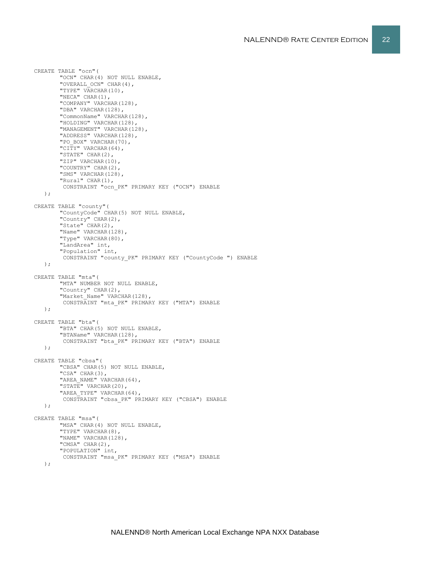```
CREATE TABLE "ocn"(
       "OCN" CHAR(4) NOT NULL ENABLE,
       "OVERALL OCN" CHAR(4),
       "TYPE" VARCHAR(10),
       "NECA" CHAR(1),
       "COMPANY" VARCHAR(128),
       "DBA" VARCHAR(128),
       "CommonName" VARCHAR(128),
       "HOLDING" VARCHAR(128),
       "MANAGEMENT" VARCHAR(128),
       "ADDRESS" VARCHAR(128),
       "PO_BOX" VARCHAR(70),
       "CITY" VARCHAR(64),
       "STATE" CHAR(2),
       "ZIP" VARCHAR(10),
       "COUNTRY" CHAR(2),
       "SMS" VARCHAR(128),
       "Rural" CHAR(1),
        CONSTRAINT "ocn_PK" PRIMARY KEY ("OCN") ENABLE
    );
CREATE TABLE "county"(
        "CountyCode" CHAR(5) NOT NULL ENABLE,
       "Country" CHAR(2),
       "State" CHAR(2),
       "Name" VARCHAR(128),
       "Type" VARCHAR(80),
       "LandArea" int,
       "Population" int,
        CONSTRAINT "county_PK" PRIMARY KEY ("CountyCode ") ENABLE
   );
CREATE TABLE "mta"(
       "MTA" NUMBER NOT NULL ENABLE,
       "Country" CHAR(2),
       "Market Name" VARCHAR(128),
        CONSTRAINT "mta_PK" PRIMARY KEY ("MTA") ENABLE
   );
CREATE TABLE "bta"(
       "BTA" CHAR(5) NOT NULL ENABLE,
       "BTAName" VARCHAR(128),
        CONSTRAINT "bta_PK" PRIMARY KEY ("BTA") ENABLE
   );
CREATE TABLE "cbsa"(
       "CBSA" CHAR(5) NOT NULL ENABLE,
       "CSA" CHAR(3),
       "AREA NAME" VARCHAR(64),
       "STATE" VARCHAR(20),
       "AREA TYPE" VARCHAR(64),
        CONSTRAINT "cbsa_PK" PRIMARY KEY ("CBSA") ENABLE
   );
CREATE TABLE "msa"(
       "MSA" CHAR(4) NOT NULL ENABLE,
       "TYPE" VARCHAR(8),
       "NAME" VARCHAR(128),
       "CMSA" CHAR(2),
       "POPULATION" int,
        CONSTRAINT "msa_PK" PRIMARY KEY ("MSA") ENABLE
   \lambda:
```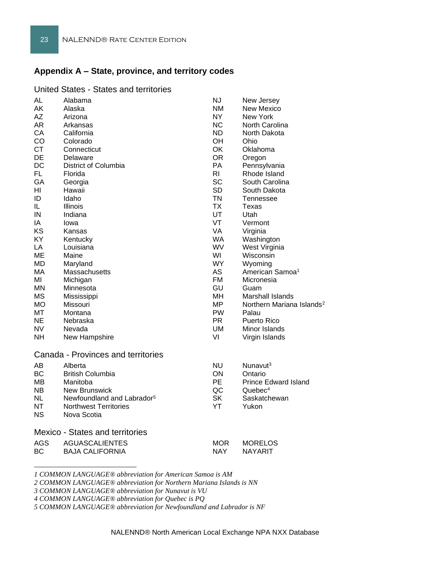# **Appendix A – State, province, and territory codes**

| United States - States and territories |  |  |
|----------------------------------------|--|--|
|----------------------------------------|--|--|

| AL         | Alabama                                | ΝJ             | New Jersey                            |
|------------|----------------------------------------|----------------|---------------------------------------|
| AK         | Alaska                                 | <b>NM</b>      | New Mexico                            |
| AΖ         | Arizona                                | NY.            | New York                              |
| AR         | Arkansas                               | <b>NC</b>      | North Carolina                        |
| CА         | California                             | ND.            | North Dakota                          |
| CO         | Colorado                               | OH.            | Ohio                                  |
| <b>CT</b>  | Connecticut                            | OK             | Oklahoma                              |
| DE         | Delaware                               | <b>OR</b>      | Oregon                                |
| DC         | District of Columbia                   | PA             | Pennsylvania                          |
| FL         | Florida                                | R <sub>l</sub> | Rhode Island                          |
| GА         | Georgia                                | <b>SC</b>      | South Carolina                        |
| HI         | Hawaii                                 | <b>SD</b>      | South Dakota                          |
| ID         | Idaho                                  | <b>TN</b>      | Tennessee                             |
| IL.        | Illinois                               | <b>TX</b>      | Texas                                 |
| IN         | Indiana                                | UT             | Utah                                  |
| IA         | lowa                                   | VT             | Vermont                               |
| KS         | Kansas                                 | <b>VA</b>      | Virginia                              |
| KY         | Kentucky                               | <b>WA</b>      | Washington                            |
| LA         | Louisiana                              | <b>WV</b>      | West Virginia                         |
| MЕ         | Maine                                  | WI             | Wisconsin                             |
| <b>MD</b>  | Maryland                               | WY.            | Wyoming                               |
| МA         | Massachusetts                          | AS             | American Samoa <sup>1</sup>           |
| ΜI         | Michigan                               | <b>FM</b>      | Micronesia                            |
| MN.        | Minnesota                              | GU             | Guam                                  |
| <b>MS</b>  | Mississippi                            | MH             | Marshall Islands                      |
| МO         | Missouri                               | MP.            | Northern Mariana Islands <sup>2</sup> |
| МT         | Montana                                | <b>PW</b>      | Palau                                 |
| NE         | Nebraska                               | <b>PR</b>      | Puerto Rico                           |
| NV         | Nevada                                 | UM             | Minor Islands                         |
| NΗ         | New Hampshire                          | VI             | Virgin Islands                        |
|            | Canada - Provinces and territories     |                |                                       |
| AB         | Alberta                                | NU             | Nunavut <sup>3</sup>                  |
| <b>BC</b>  | <b>British Columbia</b>                | ON             | Ontario                               |
| MВ         | Manitoba                               | <b>PE</b>      | <b>Prince Edward Island</b>           |
| NB.        | <b>New Brunswick</b>                   | QC             | Quebec <sup>4</sup>                   |
| NL         | Newfoundland and Labrador <sup>5</sup> | <b>SK</b>      | Saskatchewan                          |
| NΤ         | <b>Northwest Territories</b>           | YT             | Yukon                                 |
| NS.        | Nova Scotia                            |                |                                       |
|            | <b>Mexico - States and territories</b> |                |                                       |
| <b>AGS</b> | <b>AGUASCALIENTES</b>                  | <b>MOR</b>     | MORELOS                               |
| BС         | <b>BAJA CALIFORNIA</b>                 | <b>NAY</b>     | <b>NAYARIT</b>                        |
|            |                                        |                |                                       |
|            |                                        |                |                                       |

*1 COMMON LANGUAGE® abbreviation for American Samoa is AM*

*2 COMMON LANGUAGE® abbreviation for Northern Mariana Islands is NN*

*3 COMMON LANGUAGE® abbreviation for Nunavut is VU*

*4 COMMON LANGUAGE® abbreviation for Quebec is PQ*

*5 COMMON LANGUAGE® abbreviation for Newfoundland and Labrador is NF*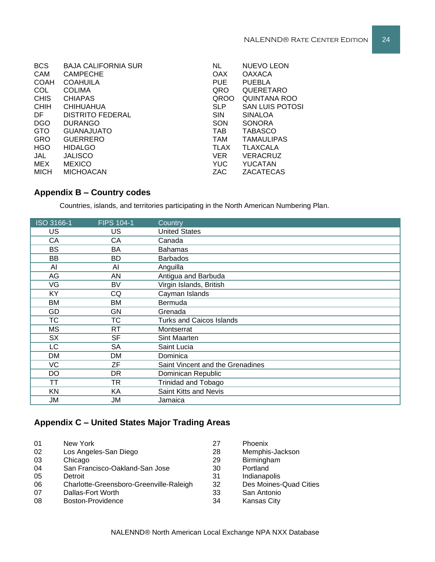| <b>BCS</b>  | <b>BAJA CALIFORNIA SUR</b> | <b>NL</b>   | <b>NUEVO LEON</b>      |
|-------------|----------------------------|-------------|------------------------|
| CAM         | <b>CAMPECHE</b>            | <b>OAX</b>  | <b>OAXACA</b>          |
| <b>COAH</b> | <b>COAHUILA</b>            | <b>PUE</b>  | <b>PUEBLA</b>          |
| COL         | <b>COLIMA</b>              | QRO         | QUERETARO              |
| <b>CHIS</b> | <b>CHIAPAS</b>             | <b>QROO</b> | QUINTANA ROO           |
| <b>CHIH</b> | <b>CHIHUAHUA</b>           | <b>SLP</b>  | <b>SAN LUIS POTOSI</b> |
| DF.         | <b>DISTRITO FEDERAL</b>    | <b>SIN</b>  | <b>SINALOA</b>         |
| <b>DGO</b>  | <b>DURANGO</b>             | SON         | <b>SONORA</b>          |
| <b>GTO</b>  | <b>GUANAJUATO</b>          | <b>TAB</b>  | <b>TABASCO</b>         |
| <b>GRO</b>  | <b>GUERRERO</b>            | <b>TAM</b>  | <b>TAMAULIPAS</b>      |
| <b>HGO</b>  | <b>HIDALGO</b>             | <b>TLAX</b> | <b>TLAXCALA</b>        |
| JAL         | <b>JALISCO</b>             | <b>VER</b>  | <b>VERACRUZ</b>        |
| MEX         | <b>MEXICO</b>              | <b>YUC</b>  | YUCATAN                |
| <b>MICH</b> | <b>MICHOACAN</b>           | ZAC         | ZACATECAS              |

# **Appendix B – Country codes**

Countries, islands, and territories participating in the North American Numbering Plan.

| ISO 3166-1 | <b>FIPS 104-1</b> | Country                          |
|------------|-------------------|----------------------------------|
| US         | US                | <b>United States</b>             |
| CA         | CA                | Canada                           |
| <b>BS</b>  | BA                | <b>Bahamas</b>                   |
| BB         | BD                | <b>Barbados</b>                  |
| Al         | AI                | Anguilla                         |
| AG         | AN                | Antigua and Barbuda              |
| VG         | <b>BV</b>         | Virgin Islands, British          |
| KY         | CQ                | Cayman Islands                   |
| <b>BM</b>  | <b>BM</b>         | Bermuda                          |
| GD         | GN                | Grenada                          |
| <b>TC</b>  | <b>TC</b>         | <b>Turks and Caicos Islands</b>  |
| МS         | RT.               | Montserrat                       |
| <b>SX</b>  | <b>SF</b>         | Sint Maarten                     |
| <b>LC</b>  | <b>SA</b>         | Saint Lucia                      |
| DM         | DM                | Dominica                         |
| <b>VC</b>  | ΖF                | Saint Vincent and the Grenadines |
| DO         | DR.               | Dominican Republic               |
| ТT         | <b>TR</b>         | <b>Trinidad and Tobago</b>       |
| KN         | KA                | Saint Kitts and Nevis            |
| JM         | JM                | Jamaica                          |

# **Appendix C – United States Major Trading Areas**

| 01 | New York                                | 27 | Phoenix                |
|----|-----------------------------------------|----|------------------------|
| 02 | Los Angeles-San Diego                   | 28 | Memphis-Jackson        |
| 03 | Chicago                                 | 29 | Birmingham             |
| 04 | San Francisco-Oakland-San Jose          | 30 | Portland               |
| 05 | Detroit                                 | 31 | Indianapolis           |
| 06 | Charlotte-Greensboro-Greenville-Raleigh | 32 | Des Moines-Quad Cities |
| 07 | Dallas-Fort Worth                       | 33 | San Antonio            |
| 08 | Boston-Providence                       | 34 | <b>Kansas City</b>     |